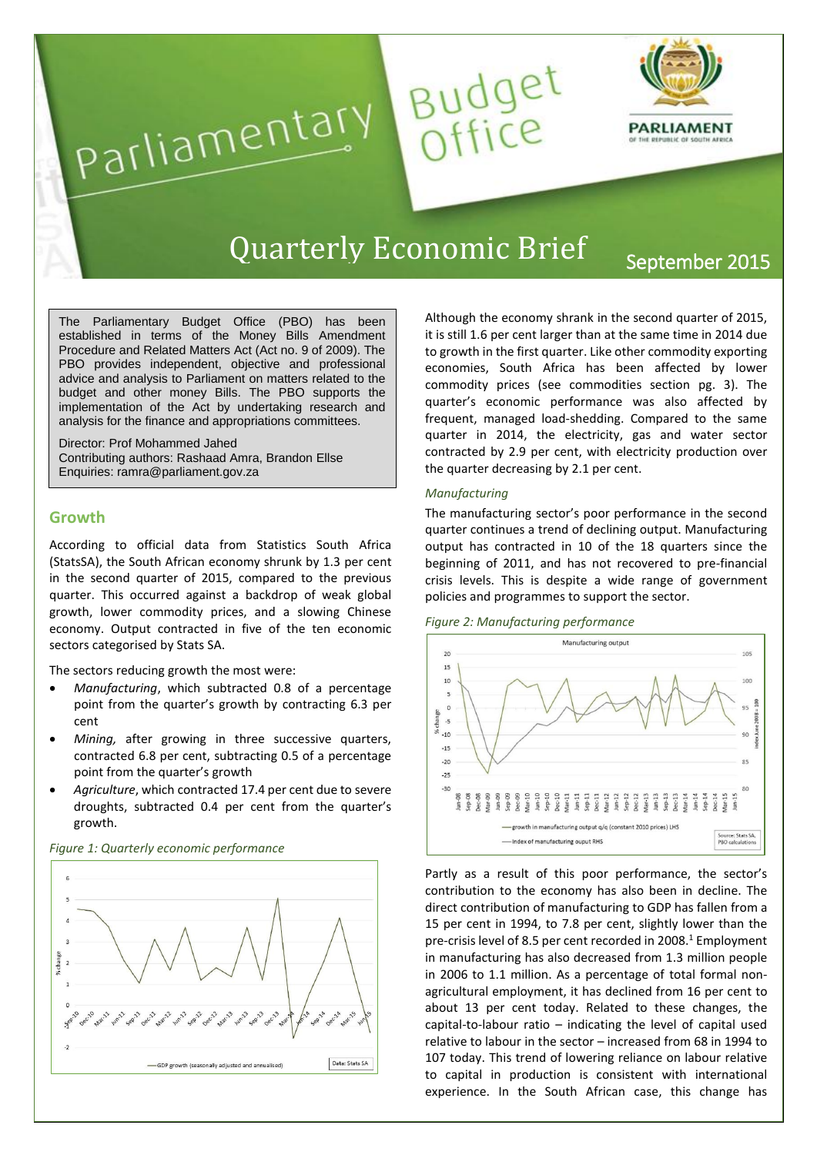

# Quarterly Economic Brief <sub>September</sub> 2015

The Parliamentary Budget Office (PBO) has been established in terms of the Money Bills Amendment Procedure and Related Matters Act (Act no. 9 of 2009). The PBO provides independent, objective and professional advice and analysis to Parliament on matters related to the budget and other money Bills. The PBO supports the implementation of the Act by undertaking research and analysis for the finance and appropriations committees.

Parliamentary

Director: Prof Mohammed Jahed Contributing authors: Rashaad Amra, Brandon Ellse Enquiries: ramra@parliament.gov.za

# **Growth**

According to official data from Statistics South Africa (StatsSA), the South African economy shrunk by 1.3 per cent in the second quarter of 2015, compared to the previous quarter. This occurred against a backdrop of weak global growth, lower commodity prices, and a slowing Chinese economy. Output contracted in five of the ten economic sectors categorised by Stats SA.

The sectors reducing growth the most were:

- *Manufacturing*, which subtracted 0.8 of a percentage point from the quarter's growth by contracting 6.3 per cent
- *Mining,* after growing in three successive quarters, contracted 6.8 per cent, subtracting 0.5 of a percentage point from the quarter's growth
- *Agriculture*, which contracted 17.4 per cent due to severe droughts, subtracted 0.4 per cent from the quarter's growth.



*Figure 1: Quarterly economic performance*

Although the economy shrank in the second quarter of 2015, it is still 1.6 per cent larger than at the same time in 2014 due to growth in the first quarter. Like other commodity exporting economies, South Africa has been affected by lower commodity prices [\(see commodities section](#page-2-0) pg. 3). The quarter's economic performance was also affected by frequent, managed load-shedding. Compared to the same quarter in 2014, the electricity, gas and water sector contracted by 2.9 per cent, with electricity production over the quarter decreasing by 2.1 per cent.

#### *Manufacturing*

Budget<br>Office

The manufacturing sector's poor performance in the second quarter continues a trend of declining output. Manufacturing output has contracted in 10 of the 18 quarters since the beginning of 2011, and has not recovered to pre-financial crisis levels. This is despite a wide range of government policies and programmes to support the sector.





Partly as a result of this poor performance, the sector's contribution to the economy has also been in decline. The direct contribution of manufacturing to GDP has fallen from a 15 per cent in 1994, to 7.8 per cent, slightly lower than the pre-crisis level of 8.5 per cent recorded in 2008.<sup>1</sup> Employment in manufacturing has also decreased from 1.3 million people in 2006 to 1.1 million. As a percentage of total formal nonagricultural employment, it has declined from 16 per cent to about 13 per cent today. Related to these changes, the capital-to-labour ratio – indicating the level of capital used relative to labour in the sector – increased from 68 in 1994 to 107 today. This trend of lowering reliance on labour relative to capital in production is consistent with international experience. In the South African case, this change has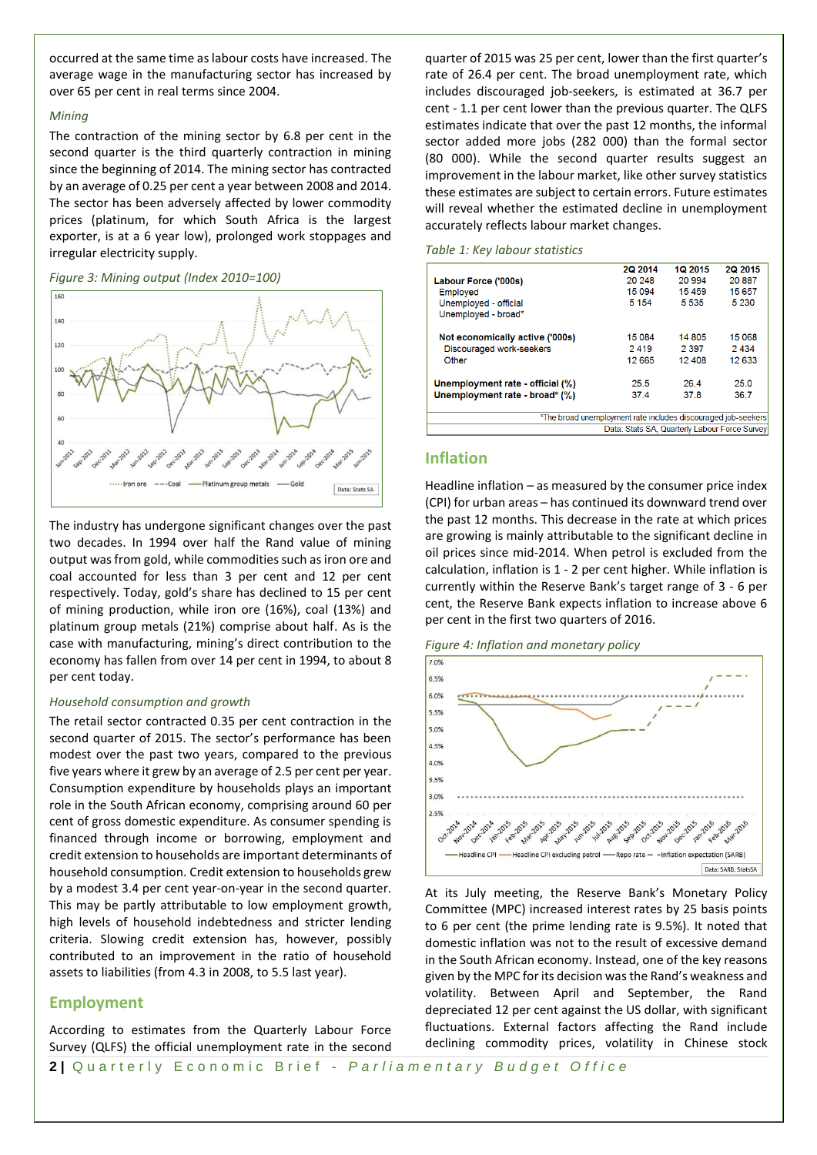occurred at the same time as labour costs have increased. The average wage in the manufacturing sector has increased by over 65 per cent in real terms since 2004.

#### *Mining*

The contraction of the mining sector by 6.8 per cent in the second quarter is the third quarterly contraction in mining since the beginning of 2014. The mining sector has contracted by an average of 0.25 per cent a year between 2008 and 2014. The sector has been adversely affected by lower commodity prices (platinum, for which South Africa is the largest exporter, is at a 6 year low), prolonged work stoppages and irregular electricity supply.





The industry has undergone significant changes over the past two decades. In 1994 over half the Rand value of mining output was from gold, while commodities such as iron ore and coal accounted for less than 3 per cent and 12 per cent respectively. Today, gold's share has declined to 15 per cent of mining production, while iron ore (16%), coal (13%) and platinum group metals (21%) comprise about half. As is the case with manufacturing, mining's direct contribution to the economy has fallen from over 14 per cent in 1994, to about 8 per cent today.

### *Household consumption and growth*

The retail sector contracted 0.35 per cent contraction in the second quarter of 2015. The sector's performance has been modest over the past two years, compared to the previous five years where it grew by an average of 2.5 per cent per year. Consumption expenditure by households plays an important role in the South African economy, comprising around 60 per cent of gross domestic expenditure. As consumer spending is financed through income or borrowing, employment and credit extension to households are important determinants of household consumption. Credit extension to households grew by a modest 3.4 per cent year-on-year in the second quarter. This may be partly attributable to low employment growth, high levels of household indebtedness and stricter lending criteria. Slowing credit extension has, however, possibly contributed to an improvement in the ratio of household assets to liabilities (from 4.3 in 2008, to 5.5 last year).

# **Employment**

According to estimates from the Quarterly Labour Force Survey (QLFS) the official unemployment rate in the second quarter of 2015 was 25 per cent, lower than the first quarter's rate of 26.4 per cent. The broad unemployment rate, which includes discouraged job-seekers, is estimated at 36.7 per cent - 1.1 per cent lower than the previous quarter. The QLFS estimates indicate that over the past 12 months, the informal sector added more jobs (282 000) than the formal sector (80 000). While the second quarter results suggest an improvement in the labour market, like other survey statistics these estimates are subject to certain errors. Future estimates will reveal whether the estimated decline in unemployment accurately reflects labour market changes.

#### *Table 1: Key labour statistics*

|                                               | 2Q 2014                                                       | 1Q 2015 | 2Q 2015 |  |
|-----------------------------------------------|---------------------------------------------------------------|---------|---------|--|
| Labour Force ('000s)                          | 20 248                                                        | 20 994  | 20887   |  |
| Employed                                      | 15 0 94                                                       | 15 459  | 15 657  |  |
| Unemployed - official                         | 5 1 5 4                                                       | 5 5 3 5 | 5 2 3 0 |  |
| Unemployed - broad*                           |                                                               |         |         |  |
| Not economically active ('000s)               | 15 0 84                                                       | 14 805  | 15 068  |  |
| Discouraged work-seekers                      | 2419                                                          | 2 3 9 7 | 2434    |  |
| Other                                         | 12 6 65                                                       | 12 408  | 12633   |  |
| Unemployment rate - official (%)              | 25.5                                                          | 26.4    | 25.0    |  |
| Unemployment rate - broad* (%)                | 37.4                                                          | 37.8    | 36.7    |  |
|                                               | *The broad unemployment rate includes discouraged job-seekers |         |         |  |
| Data: Stats SA, Quarterly Labour Force Survey |                                                               |         |         |  |
|                                               |                                                               |         |         |  |

# **Inflation**

Headline inflation – as measured by the consumer price index (CPI) for urban areas – has continued its downward trend over the past 12 months. This decrease in the rate at which prices are growing is mainly attributable to the significant decline in oil prices since mid-2014. When petrol is excluded from the calculation, inflation is 1 - 2 per cent higher. While inflation is currently within the Reserve Bank's target range of 3 - 6 per cent, the Reserve Bank expects inflation to increase above 6 per cent in the first two quarters of 2016.

*Figure 4: Inflation and monetary policy*



At its July meeting, the Reserve Bank's Monetary Policy Committee (MPC) increased interest rates by 25 basis points to 6 per cent (the prime lending rate is 9.5%). It noted that domestic inflation was not to the result of excessive demand in the South African economy. Instead, one of the key reasons given by the MPC for its decision was the Rand's weakness and volatility. Between April and September, the Rand depreciated 12 per cent against the US dollar, with significant fluctuations. External factors affecting the Rand include declining commodity prices, volatility in Chinese stock

**2** | Quarterly Economic Brief - *Parliamentary Budget Office*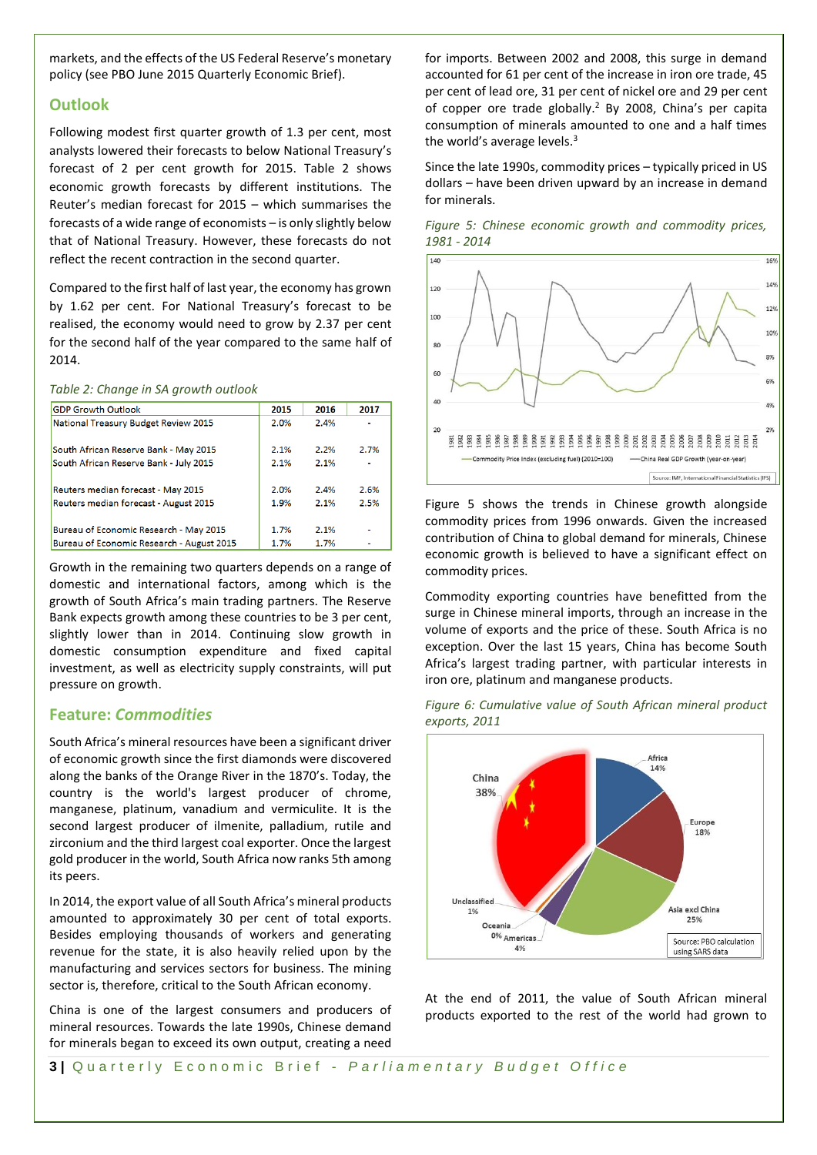markets, and the effects of the US Federal Reserve's monetary policy [\(see PBO June 2015 Quarterly Economic Brief\)](http://www.parliament.gov.za/content/The%20Quarterly%20Economic%20Brief%201Q2015%20final.pdf).

# **Outlook**

Following modest first quarter growth of 1.3 per cent, most analysts lowered their forecasts to below National Treasury's forecast of 2 per cent growth for 2015. Table 2 shows economic growth forecasts by different institutions. The Reuter's median forecast for 2015 – which summarises the forecasts of a wide range of economists – is only slightly below that of National Treasury. However, these forecasts do not reflect the recent contraction in the second quarter.

Compared to the first half of last year, the economy has grown by 1.62 per cent. For National Treasury's forecast to be realised, the economy would need to grow by 2.37 per cent for the second half of the year compared to the same half of 2014.

#### *Table 2: Change in SA growth outlook*

| <b>GDP Growth Outlook</b>                   | 2015 | 2016 | 2017 |
|---------------------------------------------|------|------|------|
| <b>National Treasury Budget Review 2015</b> | 2.0% | 2.4% |      |
| South African Reserve Bank - May 2015       | 2.1% | 2.2% | 2.7% |
| South African Reserve Bank - July 2015      | 2.1% | 2.1% |      |
| Reuters median forecast - May 2015          | 2.0% | 2.4% | 2.6% |
| Reuters median forecast - August 2015       | 1.9% | 2.1% | 2.5% |
| Bureau of Economic Research - May 2015      | 1.7% | 2.1% |      |
| Bureau of Economic Research - August 2015   | 1.7% | 1.7% |      |

Growth in the remaining two quarters depends on a range of domestic and international factors, among which is the growth of South Africa's main trading partners. The Reserve Bank expects growth among these countries to be 3 per cent, slightly lower than in 2014. Continuing slow growth in domestic consumption expenditure and fixed capital investment, as well as electricity supply constraints, will put pressure on growth.

# <span id="page-2-0"></span>**Feature:** *Commodities*

South Africa's mineral resources have been a significant driver of economic growth since the first diamonds were discovered along the banks of the Orange River in the 1870's. Today, the country is the world's largest producer of chrome, manganese, platinum, vanadium and vermiculite. It is the second largest producer of ilmenite, palladium, rutile and zirconium and the third largest coal exporter. Once the largest gold producer in the world, South Africa now ranks 5th among its peers.

In 2014, the export value of all South Africa's mineral products amounted to approximately 30 per cent of total exports. Besides employing thousands of workers and generating revenue for the state, it is also heavily relied upon by the manufacturing and services sectors for business. The mining sector is, therefore, critical to the South African economy.

China is one of the largest consumers and producers of mineral resources. Towards the late 1990s, Chinese demand for minerals began to exceed its own output, creating a need

for imports. Between 2002 and 2008, this surge in demand accounted for 61 per cent of the increase in iron ore trade, 45 per cent of lead ore, 31 per cent of nickel ore and 29 per cent of copper ore trade globally. <sup>2</sup> By 2008, China's per capita consumption of minerals amounted to one and a half times the world's average levels.<sup>3</sup>

Since the late 1990s, commodity prices – typically priced in US dollars – have been driven upward by an increase in demand for minerals.

*Figure 5: Chinese economic growth and commodity prices, 1981 - 2014*



Figure 5 shows the trends in Chinese growth alongside commodity prices from 1996 onwards. Given the increased contribution of China to global demand for minerals, Chinese economic growth is believed to have a significant effect on commodity prices.

Commodity exporting countries have benefitted from the surge in Chinese mineral imports, through an increase in the volume of exports and the price of these. South Africa is no exception. Over the last 15 years, China has become South Africa's largest trading partner, with particular interests in iron ore, platinum and manganese products.

*Figure 6: Cumulative value of South African mineral product exports, 2011*



At the end of 2011, the value of South African mineral products exported to the rest of the world had grown to

**3** | Quarterly Economic Brief - *Parliamentary Budget Office*